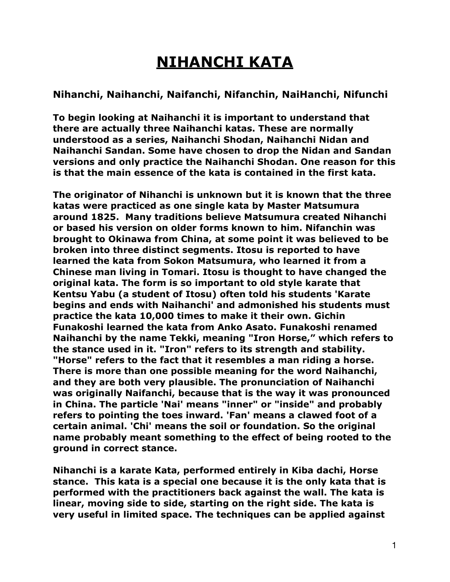## **NIHANCHI KATA**

## **Nihanchi, Naihanchi, Naifanchi, Nifanchin, NaiHanchi, Nifunchi**

**To begin looking at Naihanchi it is important to understand that there are actually three Naihanchi katas. These are normally understood as a series, Naihanchi Shodan, Naihanchi Nidan and Naihanchi Sandan. Some have chosen to drop the Nidan and Sandan versions and only practice the Naihanchi Shodan. One reason for this is that the main essence of the kata is contained in the first kata.** 

**The originator of Nihanchi is unknown but it is known that the three katas were practiced as one single kata by Master Matsumura around 1825. Many traditions believe Matsumura created Nihanchi or based his version on older forms known to him. Nifanchin was brought to Okinawa from China, at some point it was believed to be broken into three distinct segments. Itosu is reported to have learned the kata from [Sokon Matsumura](https://en.wikipedia.org/wiki/Sokon_Matsumura), who learned it from a Chinese man living in [Tomari.](https://en.wikipedia.org/wiki/Tomari,_Okinawa) Itosu is thought to have changed the original kata. The form is so important to old style [karate](https://en.wikipedia.org/wiki/Karate) that [Kentsu Yabu](https://en.wikipedia.org/wiki/Kentsu_Yabu) (a student of Itosu) often told his students 'Karate begins and ends with Naihanchi' and admonished his students must practice the kata 10,000 times to make it their own. [Gichin](https://en.wikipedia.org/wiki/Gichin_Funakoshi)  [Funakoshi](https://en.wikipedia.org/wiki/Gichin_Funakoshi) learned the kata from [Anko Asato](https://en.wikipedia.org/wiki/Anko_Asato). Funakoshi renamed Naihanchi by the name Tekki, meaning "Iron Horse," which refers to the stance used in it. "Iron" refers to its strength and stability. "Horse" refers to the fact that it resembles a man riding a horse. There is more than one possible meaning for the word Naihanchi, and they are both very plausible. The pronunciation of Naihanchi was originally Naifanchi, because that is the way it was pronounced in China. The particle 'Nai' means "inner" or "inside" and probably refers to pointing the toes inward. 'Fan' means a clawed foot of a certain animal. 'Chi' means the soil or foundation. So the original name probably meant something to the effect of being rooted to the ground in correct stance.** 

**Nihanchi is a [karate](https://en.wikipedia.org/wiki/Karate) [Kata,](https://en.wikipedia.org/wiki/Kata) performed entirely in [Kiba dachi,](https://en.wikipedia.org/wiki/Horse_stance) Horse stance. This kata is a special one because it is the only kata that is performed with the practitioners back against the wall. The kata is linear, moving side to side, starting on the right side. The kata is very useful in limited space. The techniques can be applied against**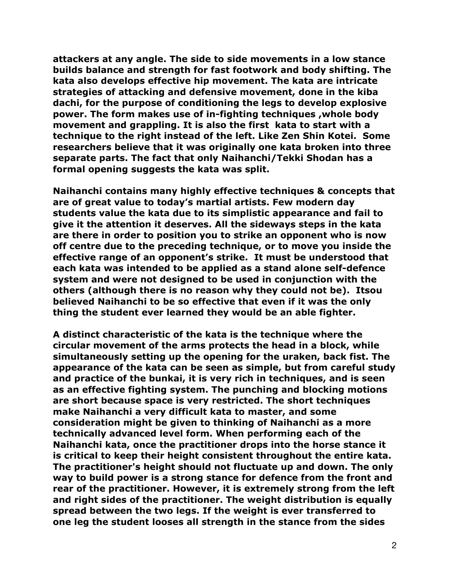**attackers at any angle. The side to side movements in a low stance builds balance and strength for fast footwork and body shifting. The kata also develops effective hip movement. The kata are intricate strategies of attacking and defensive movement, done in the kiba dachi, for the purpose of conditioning the legs to develop explosive power. The form makes use of in-fighting techniques ,whole body movement and grappling. It is also the first kata to start with a technique to the right instead of the left. Like Zen Shin Kotei. Some researchers believe that it was originally one kata broken into three separate parts. The fact that only Naihanchi/Tekki Shodan has a formal opening suggests the kata was split.** 

**Naihanchi contains many highly effective techniques & concepts that are of great value to today's martial artists. Few modern day students value the kata due to its simplistic appearance and fail to give it the attention it deserves. All the sideways steps in the kata are there in order to position you to strike an opponent who is now off centre due to the preceding technique, or to move you inside the effective range of an opponent's strike. It must be understood that each kata was intended to be applied as a stand alone self-defence system and were not designed to be used in conjunction with the others (although there is no reason why they could not be). Itsou believed Naihanchi to be so effective that even if it was the only thing the student ever learned they would be an able fighter.** 

**A distinct characteristic of the kata is the technique where the circular movement of the arms protects the head in a block, while simultaneously setting up the opening for the uraken, back fist. The appearance of the kata can be seen as simple, but from careful study and practice of the bunkai, it is very rich in techniques, and is seen as an effective fighting system. The punching and blocking motions are short because space is very restricted. The short techniques make Naihanchi a very difficult kata to master, and some consideration might be given to thinking of Naihanchi as a more technically advanced level form. When performing each of the Naihanchi kata, once the practitioner drops into the horse stance it is critical to keep their height consistent throughout the entire kata. The practitioner's height should not fluctuate up and down. The only way to build power is a strong stance for defence from the front and rear of the practitioner. However, it is extremely strong from the left and right sides of the practitioner. The weight distribution is equally spread between the two legs. If the weight is ever transferred to one leg the student looses all strength in the stance from the sides**